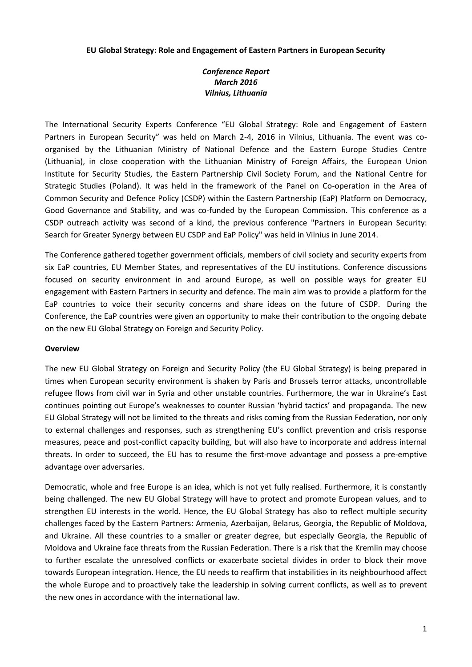### **EU Global Strategy: Role and Engagement of Eastern Partners in European Security**

# *Conference Report March 2016 Vilnius, Lithuania*

The International Security Experts Conference "EU Global Strategy: Role and Engagement of Eastern Partners in European Security" was held on March 2-4, 2016 in Vilnius, Lithuania. The event was coorganised by the Lithuanian Ministry of National Defence and the Eastern Europe Studies Centre (Lithuania), in close cooperation with the Lithuanian Ministry of Foreign Affairs, the European Union Institute for Security Studies, the Eastern Partnership Civil Society Forum, and the National Centre for Strategic Studies (Poland). It was held in the framework of the Panel on Co-operation in the Area of Common Security and Defence Policy (CSDP) within the Eastern Partnership (EaP) Platform on Democracy, Good Governance and Stability, and was co-funded by the European Commission. This conference as a CSDP outreach activity was second of a kind, the previous conference "Partners in European Security: Search for Greater Synergy between EU CSDP and EaP Policy" was held in Vilnius in June 2014.

The Conference gathered together government officials, members of civil society and security experts from six EaP countries, EU Member States, and representatives of the EU institutions. Conference discussions focused on security environment in and around Europe, as well on possible ways for greater EU engagement with Eastern Partners in security and defence. The main aim was to provide a platform for the EaP countries to voice their security concerns and share ideas on the future of CSDP. During the Conference, the EaP countries were given an opportunity to make their contribution to the ongoing debate on the new EU Global Strategy on Foreign and Security Policy.

### **Overview**

The new EU Global Strategy on Foreign and Security Policy (the EU Global Strategy) is being prepared in times when European security environment is shaken by Paris and Brussels terror attacks, uncontrollable refugee flows from civil war in Syria and other unstable countries. Furthermore, the war in Ukraine's East continues pointing out Europe's weaknesses to counter Russian 'hybrid tactics' and propaganda. The new EU Global Strategy will not be limited to the threats and risks coming from the Russian Federation, nor only to external challenges and responses, such as strengthening EU's conflict prevention and crisis response measures, peace and post-conflict capacity building, but will also have to incorporate and address internal threats. In order to succeed, the EU has to resume the first-move advantage and possess a pre-emptive advantage over adversaries.

Democratic, whole and free Europe is an idea, which is not yet fully realised. Furthermore, it is constantly being challenged. The new EU Global Strategy will have to protect and promote European values, and to strengthen EU interests in the world. Hence, the EU Global Strategy has also to reflect multiple security challenges faced by the Eastern Partners: Armenia, Azerbaijan, Belarus, Georgia, the Republic of Moldova, and Ukraine. All these countries to a smaller or greater degree, but especially Georgia, the Republic of Moldova and Ukraine face threats from the Russian Federation. There is a risk that the Kremlin may choose to further escalate the unresolved conflicts or exacerbate societal divides in order to block their move towards European integration. Hence, the EU needs to reaffirm that instabilities in its neighbourhood affect the whole Europe and to proactively take the leadership in solving current conflicts, as well as to prevent the new ones in accordance with the international law.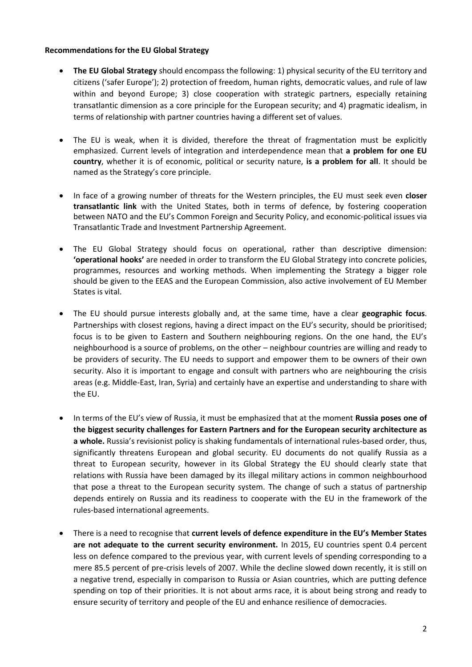## **Recommendations for the EU Global Strategy**

- **The EU Global Strategy** should encompass the following: 1) physical security of the EU territory and citizens ('safer Europe'); 2) protection of freedom, human rights, democratic values, and rule of law within and beyond Europe; 3) close cooperation with strategic partners, especially retaining transatlantic dimension as a core principle for the European security; and 4) pragmatic idealism, in terms of relationship with partner countries having a different set of values.
- The EU is weak, when it is divided, therefore the threat of fragmentation must be explicitly emphasized. Current levels of integration and interdependence mean that **a problem for one EU country**, whether it is of economic, political or security nature, **is a problem for all**. It should be named as the Strategy's core principle.
- In face of a growing number of threats for the Western principles, the EU must seek even **closer transatlantic link** with the United States, both in terms of defence, by fostering cooperation between NATO and the EU's Common Foreign and Security Policy, and economic-political issues via Transatlantic Trade and Investment Partnership Agreement.
- The EU Global Strategy should focus on operational, rather than descriptive dimension: **'operational hooks'** are needed in order to transform the EU Global Strategy into concrete policies, programmes, resources and working methods. When implementing the Strategy a bigger role should be given to the EEAS and the European Commission, also active involvement of EU Member States is vital.
- The EU should pursue interests globally and, at the same time, have a clear **geographic focus**. Partnerships with closest regions, having a direct impact on the EU's security, should be prioritised; focus is to be given to Eastern and Southern neighbouring regions. On the one hand, the EU's neighbourhood is a source of problems, on the other – neighbour countries are willing and ready to be providers of security. The EU needs to support and empower them to be owners of their own security. Also it is important to engage and consult with partners who are neighbouring the crisis areas (e.g. Middle-East, Iran, Syria) and certainly have an expertise and understanding to share with the EU.
- In terms of the EU's view of Russia, it must be emphasized that at the moment **Russia poses one of the biggest security challenges for Eastern Partners and for the European security architecture as a whole.** Russia's revisionist policy is shaking fundamentals of international rules-based order, thus, significantly threatens European and global security. EU documents do not qualify Russia as a threat to European security, however in its Global Strategy the EU should clearly state that relations with Russia have been damaged by its illegal military actions in common neighbourhood that pose a threat to the European security system. The change of such a status of partnership depends entirely on Russia and its readiness to cooperate with the EU in the framework of the rules-based international agreements.
- There is a need to recognise that **current levels of defence expenditure in the EU's Member States are not adequate to the current security environment.** In 2015, EU countries spent 0.4 percent less on defence compared to the previous year, with current levels of spending corresponding to a mere 85.5 percent of pre-crisis levels of 2007. While the decline slowed down recently, it is still on a negative trend, especially in comparison to Russia or Asian countries, which are putting defence spending on top of their priorities. It is not about arms race, it is about being strong and ready to ensure security of territory and people of the EU and enhance resilience of democracies.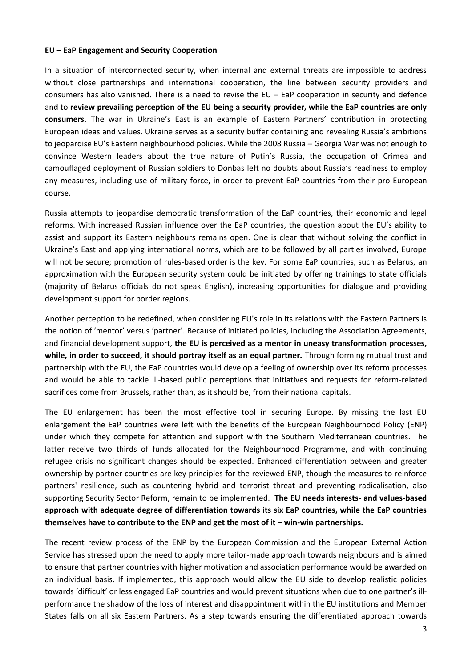#### **EU – EaP Engagement and Security Cooperation**

In a situation of interconnected security, when internal and external threats are impossible to address without close partnerships and international cooperation, the line between security providers and consumers has also vanished. There is a need to revise the EU – EaP cooperation in security and defence and to **review prevailing perception of the EU being a security provider, while the EaP countries are only consumers.** The war in Ukraine's East is an example of Eastern Partners' contribution in protecting European ideas and values. Ukraine serves as a security buffer containing and revealing Russia's ambitions to jeopardise EU's Eastern neighbourhood policies. While the 2008 Russia – Georgia War was not enough to convince Western leaders about the true nature of Putin's Russia, the occupation of Crimea and camouflaged deployment of Russian soldiers to Donbas left no doubts about Russia's readiness to employ any measures, including use of military force, in order to prevent EaP countries from their pro-European course.

Russia attempts to jeopardise democratic transformation of the EaP countries, their economic and legal reforms. With increased Russian influence over the EaP countries, the question about the EU's ability to assist and support its Eastern neighbours remains open. One is clear that without solving the conflict in Ukraine's East and applying international norms, which are to be followed by all parties involved, Europe will not be secure; promotion of rules-based order is the key. For some EaP countries, such as Belarus, an approximation with the European security system could be initiated by offering trainings to state officials (majority of Belarus officials do not speak English), increasing opportunities for dialogue and providing development support for border regions.

Another perception to be redefined, when considering EU's role in its relations with the Eastern Partners is the notion of 'mentor' versus 'partner'. Because of initiated policies, including the Association Agreements, and financial development support, **the EU is perceived as a mentor in uneasy transformation processes, while, in order to succeed, it should portray itself as an equal partner.** Through forming mutual trust and partnership with the EU, the EaP countries would develop a feeling of ownership over its reform processes and would be able to tackle ill-based public perceptions that initiatives and requests for reform-related sacrifices come from Brussels, rather than, as it should be, from their national capitals.

The EU enlargement has been the most effective tool in securing Europe. By missing the last EU enlargement the EaP countries were left with the benefits of the European Neighbourhood Policy (ENP) under which they compete for attention and support with the Southern Mediterranean countries. The latter receive two thirds of funds allocated for the Neighbourhood Programme, and with continuing refugee crisis no significant changes should be expected. Enhanced differentiation between and greater ownership by partner countries are key principles for the reviewed ENP, though the measures to reinforce partners' resilience, such as countering hybrid and terrorist threat and preventing radicalisation, also supporting Security Sector Reform, remain to be implemented. **The EU needs interests- and values-based approach with adequate degree of differentiation towards its six EaP countries, while the EaP countries themselves have to contribute to the ENP and get the most of it – win‐win partnerships.** 

The recent review process of the ENP by the European Commission and the European External Action Service has stressed upon the need to apply more tailor-made approach towards neighbours and is aimed to ensure that partner countries with higher motivation and association performance would be awarded on an individual basis. If implemented, this approach would allow the EU side to develop realistic policies towards 'difficult' or less engaged EaP countries and would prevent situations when due to one partner's illperformance the shadow of the loss of interest and disappointment within the EU institutions and Member States falls on all six Eastern Partners. As a step towards ensuring the differentiated approach towards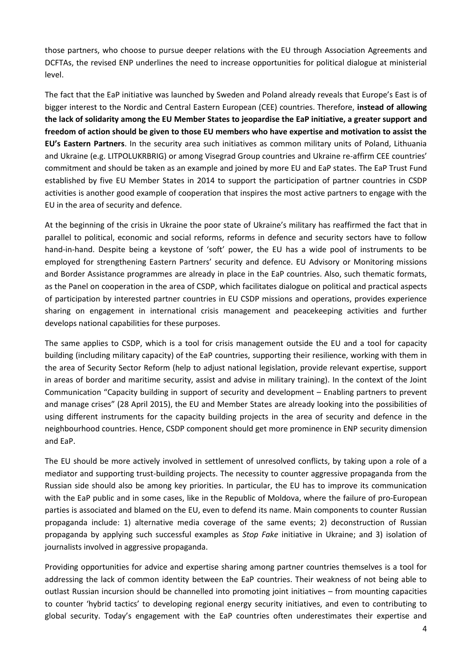those partners, who choose to pursue deeper relations with the EU through Association Agreements and DCFTAs, the revised ENP underlines the need to increase opportunities for political dialogue at ministerial level.

The fact that the EaP initiative was launched by Sweden and Poland already reveals that Europe's East is of bigger interest to the Nordic and Central Eastern European (CEE) countries. Therefore, **instead of allowing the lack of solidarity among the EU Member States to jeopardise the EaP initiative, a greater support and freedom of action should be given to those EU members who have expertise and motivation to assist the EU's Eastern Partners**. In the security area such initiatives as common military units of Poland, Lithuania and Ukraine (e.g. LITPOLUKRBRIG) or among Visegrad Group countries and Ukraine re-affirm CEE countries' commitment and should be taken as an example and joined by more EU and EaP states. The EaP Trust Fund established by five EU Member States in 2014 to support the participation of partner countries in CSDP activities is another good example of cooperation that inspires the most active partners to engage with the EU in the area of security and defence.

At the beginning of the crisis in Ukraine the poor state of Ukraine's military has reaffirmed the fact that in parallel to political, economic and social reforms, reforms in defence and security sectors have to follow hand-in-hand. Despite being a keystone of 'soft' power, the EU has a wide pool of instruments to be employed for strengthening Eastern Partners' security and defence. EU Advisory or Monitoring missions and Border Assistance programmes are already in place in the EaP countries. Also, such thematic formats, as the Panel on cooperation in the area of CSDP, which facilitates dialogue on political and practical aspects of participation by interested partner countries in EU CSDP missions and operations, provides experience sharing on engagement in international crisis management and peacekeeping activities and further develops national capabilities for these purposes.

The same applies to CSDP, which is a tool for crisis management outside the EU and a tool for capacity building (including military capacity) of the EaP countries, supporting their resilience, working with them in the area of Security Sector Reform (help to adjust national legislation, provide relevant expertise, support in areas of border and maritime security, assist and advise in military training). In the context of the Joint Communication "Capacity building in support of security and development – Enabling partners to prevent and manage crises" (28 April 2015), the EU and Member States are already looking into the possibilities of using different instruments for the capacity building projects in the area of security and defence in the neighbourhood countries. Hence, CSDP component should get more prominence in ENP security dimension and EaP.

The EU should be more actively involved in settlement of unresolved conflicts, by taking upon a role of a mediator and supporting trust-building projects. The necessity to counter aggressive propaganda from the Russian side should also be among key priorities. In particular, the EU has to improve its communication with the EaP public and in some cases, like in the Republic of Moldova, where the failure of pro-European parties is associated and blamed on the EU, even to defend its name. Main components to counter Russian propaganda include: 1) alternative media coverage of the same events; 2) deconstruction of Russian propaganda by applying such successful examples as *Stop Fake* initiative in Ukraine; and 3) isolation of journalists involved in aggressive propaganda.

Providing opportunities for advice and expertise sharing among partner countries themselves is a tool for addressing the lack of common identity between the EaP countries. Their weakness of not being able to outlast Russian incursion should be channelled into promoting joint initiatives – from mounting capacities to counter 'hybrid tactics' to developing regional energy security initiatives, and even to contributing to global security. Today's engagement with the EaP countries often underestimates their expertise and